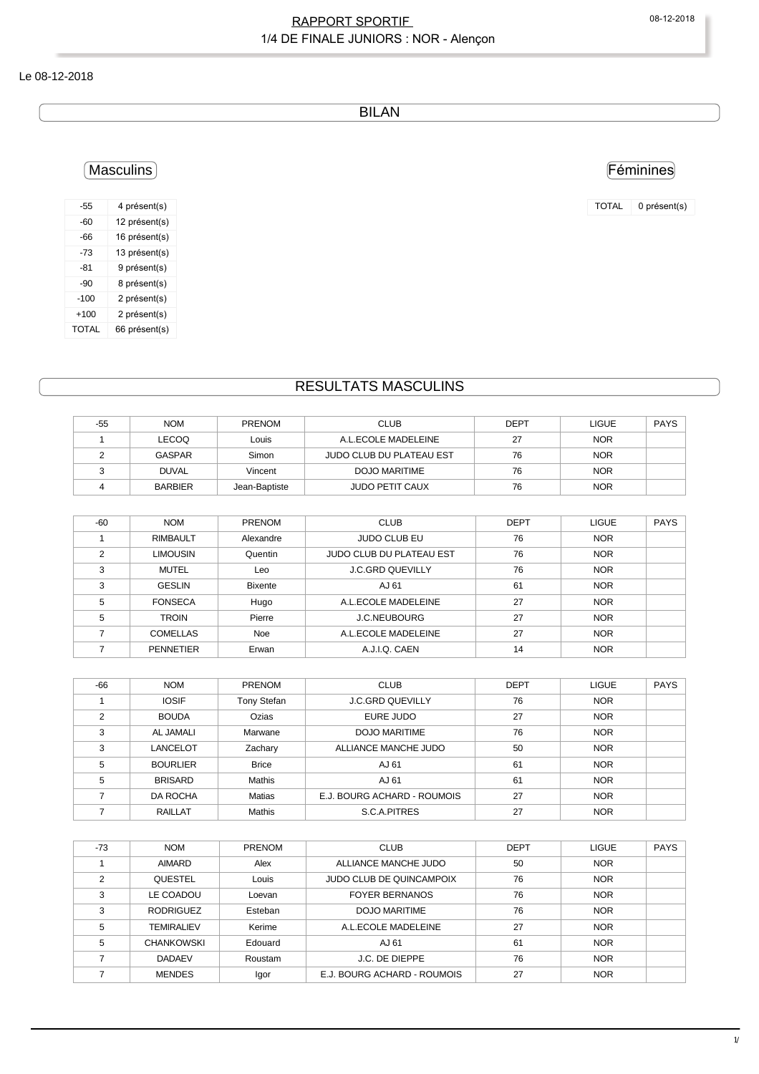## RAPPORT SPORTIF 
08-12-2018 1/4 DE FINALE JUNIORS : NOR - Alençon

### Le 08-12-2018

BILAN

# Masculins

| -55          | 4 présent(s)  |
|--------------|---------------|
| -60          | 12 présent(s) |
| -66          | 16 présent(s) |
| -73          | 13 présent(s) |
| $-81$        | 9 présent(s)  |
| $-90$        | 8 présent(s)  |
| $-100$       | 2 présent(s)  |
| $+100$       | 2 présent(s)  |
| <b>TOTAL</b> | 66 présent(s) |

# RESULTATS MASCULINS

| -55 | <b>NOM</b>     | <b>PRENOM</b> | <b>CLUB</b>              | <b>DEPT</b> | <b>LIGUE</b> | <b>PAYS</b> |
|-----|----------------|---------------|--------------------------|-------------|--------------|-------------|
|     | <b>LECOQ</b>   | Louis         | A.L.ECOLE MADELEINE      | 27          | <b>NOR</b>   |             |
|     | GASPAR         | Simon         | JUDO CLUB DU PLATEAU EST | 76          | <b>NOR</b>   |             |
|     | <b>DUVAL</b>   | Vincent       | <b>DOJO MARITIME</b>     | 76          | <b>NOR</b>   |             |
|     | <b>BARBIER</b> | Jean-Baptiste | <b>JUDO PETIT CAUX</b>   | 76          | <b>NOR</b>   |             |

| $-60$          | <b>NOM</b>       | <b>PRENOM</b>  | <b>CLUB</b>              | <b>DEPT</b> | <b>LIGUE</b> | <b>PAYS</b> |
|----------------|------------------|----------------|--------------------------|-------------|--------------|-------------|
|                | <b>RIMBAULT</b>  | Alexandre      | <b>JUDO CLUB EU</b>      | 76          | <b>NOR</b>   |             |
| $\mathfrak{p}$ | <b>LIMOUSIN</b>  | Quentin        | JUDO CLUB DU PLATEAU EST | 76          | <b>NOR</b>   |             |
| 3              | MUTEL            | Leo            | <b>J.C.GRD QUEVILLY</b>  | 76          | <b>NOR</b>   |             |
| 3              | <b>GESLIN</b>    | <b>Bixente</b> | AJ 61                    | 61          | <b>NOR</b>   |             |
| 5              | <b>FONSECA</b>   | Hugo           | A.L.ECOLE MADELEINE      | 27          | <b>NOR</b>   |             |
| 5              | <b>TROIN</b>     | Pierre         | <b>J.C.NEUBOURG</b>      | 27          | <b>NOR</b>   |             |
|                | <b>COMELLAS</b>  | <b>Noe</b>     | A.L.ECOLE MADELEINE      | 27          | <b>NOR</b>   |             |
|                | <b>PENNETIER</b> | Erwan          | A.J.I.Q. CAEN            | 14          | <b>NOR</b>   |             |

| $-66$ | <b>NOM</b>       | <b>PRENOM</b> | <b>CLUB</b>                 | <b>DEPT</b> | <b>LIGUE</b> | <b>PAYS</b> |
|-------|------------------|---------------|-----------------------------|-------------|--------------|-------------|
|       | <b>IOSIF</b>     | Tony Stefan   | <b>J.C.GRD QUEVILLY</b>     | 76          | <b>NOR</b>   |             |
| ◠     | <b>BOUDA</b>     | Ozias         | EURE JUDO                   | 27          | <b>NOR</b>   |             |
| 3     | <b>AL JAMALI</b> | Marwane       | <b>DOJO MARITIME</b>        | 76          | <b>NOR</b>   |             |
| 3     | <b>LANCELOT</b>  | Zachary       | ALLIANCE MANCHE JUDO        | 50          | <b>NOR</b>   |             |
| 5     | <b>BOURLIER</b>  | <b>Brice</b>  | AJ 61                       | 61          | <b>NOR</b>   |             |
| 5     | <b>BRISARD</b>   | Mathis        | AJ 61                       | 61          | <b>NOR</b>   |             |
|       | <b>DA ROCHA</b>  | <b>Matias</b> | E.J. BOURG ACHARD - ROUMOIS | 27          | <b>NOR</b>   |             |
|       | <b>RAILLAT</b>   | Mathis        | S.C.A.PITRES                | 27          | <b>NOR</b>   |             |

| $-73$         | <b>NOM</b>        | <b>PRENOM</b> | <b>CLUB</b>                     | <b>DEPT</b> | <b>LIGUE</b> | <b>PAYS</b> |
|---------------|-------------------|---------------|---------------------------------|-------------|--------------|-------------|
|               | <b>AIMARD</b>     | Alex          | ALLIANCE MANCHE JUDO            | 50          | <b>NOR</b>   |             |
| $\mathcal{P}$ | <b>QUESTEL</b>    | Louis         | <b>JUDO CLUB DE QUINCAMPOIX</b> | 76          | <b>NOR</b>   |             |
| 3             | LE COADOU         | Loevan        | <b>FOYER BERNANOS</b>           | 76          | <b>NOR</b>   |             |
| 3             | <b>RODRIGUEZ</b>  | Esteban       | DOJO MARITIME                   | 76          | <b>NOR</b>   |             |
| 5             | <b>TEMIRALIEV</b> | Kerime        | A.L.ECOLE MADELEINE             | 27          | <b>NOR</b>   |             |
| 5             | <b>CHANKOWSKI</b> | Edouard       | AJ 61                           | 61          | <b>NOR</b>   |             |
|               | <b>DADAEV</b>     | Roustam       | J.C. DE DIEPPE                  | 76          | <b>NOR</b>   |             |
|               | <b>MENDES</b>     | Igor          | E.J. BOURG ACHARD - ROUMOIS     | 27          | <b>NOR</b>   |             |

### Féminines

TOTAL 0 présent(s)